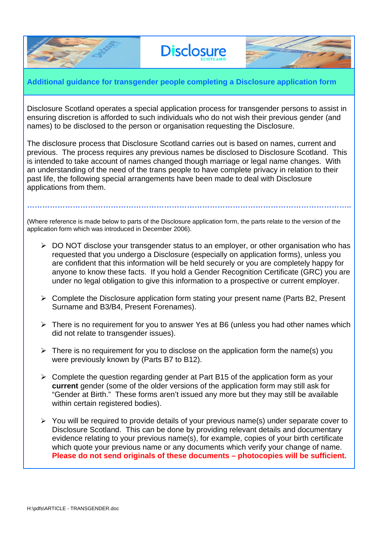

## **Additional guidance for transgender people completing a Disclosure application form**

**Disclosure** 

Disclosure Scotland operates a special application process for transgender persons to assist in ensuring discretion is afforded to such individuals who do not wish their previous gender (and names) to be disclosed to the person or organisation requesting the Disclosure.

The disclosure process that Disclosure Scotland carries out is based on names, current and previous. The process requires any previous names be disclosed to Disclosure Scotland. This is intended to take account of names changed though marriage or legal name changes. With an understanding of the need of the trans people to have complete privacy in relation to their past life, the following special arrangements have been made to deal with Disclosure applications from them.

(Where reference is made below to parts of the Disclosure application form, the parts relate to the version of the application form which was introduced in December 2006).

**………………………………………………………………………………………………………………..**

- $\triangleright$  DO NOT disclose your transgender status to an employer, or other organisation who has requested that you undergo a Disclosure (especially on application forms), unless you are confident that this information will be held securely or you are completely happy for anyone to know these facts. If you hold a Gender Recognition Certificate (GRC) you are under no legal obligation to give this information to a prospective or current employer.
- $\triangleright$  Complete the Disclosure application form stating your present name (Parts B2, Present Surname and B3/B4, Present Forenames).
- $\triangleright$  There is no requirement for you to answer Yes at B6 (unless you had other names which did not relate to transgender issues).
- $\triangleright$  There is no requirement for you to disclose on the application form the name(s) you were previously known by (Parts B7 to B12).
- $\triangleright$  Complete the question regarding gender at Part B15 of the application form as your **current** gender (some of the older versions of the application form may still ask for "Gender at Birth." These forms aren't issued any more but they may still be available within certain registered bodies).
- $\triangleright$  You will be required to provide details of your previous name(s) under separate cover to Disclosure Scotland. This can be done by providing relevant details and documentary evidence relating to your previous name(s), for example, copies of your birth certificate which quote your previous name or any documents which verify your change of name. **Please do not send originals of these documents – photocopies will be sufficient.**